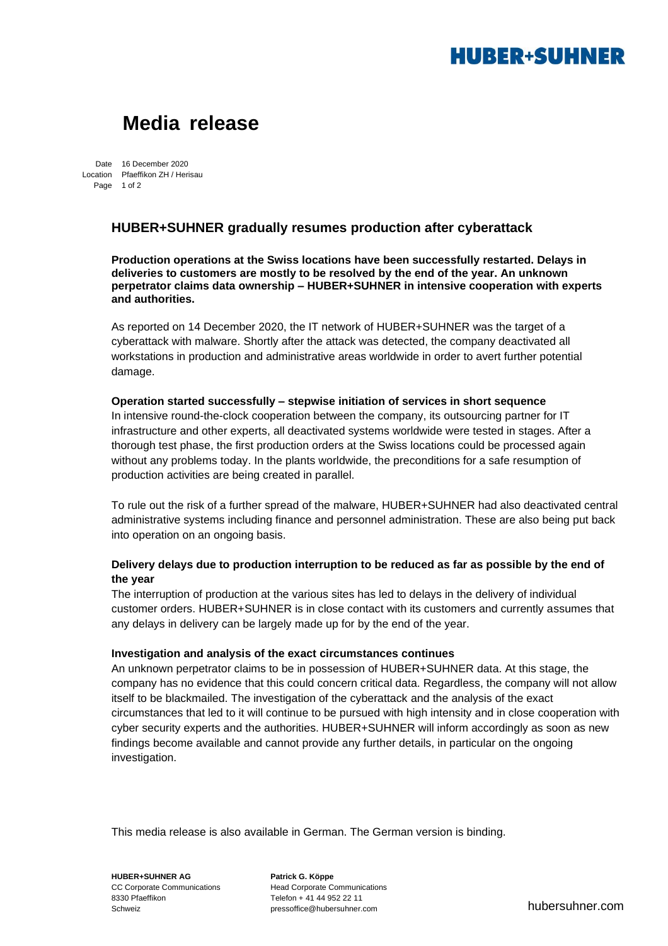# **HUBER+SUHNER**

## **Media release**

Date 16 December 2020 Location Pfaeffikon ZH / Herisau Page 1 of 2

### **HUBER+SUHNER gradually resumes production after cyberattack**

**Production operations at the Swiss locations have been successfully restarted. Delays in deliveries to customers are mostly to be resolved by the end of the year. An unknown perpetrator claims data ownership – HUBER+SUHNER in intensive cooperation with experts and authorities.**

As reported on 14 December 2020, the IT network of HUBER+SUHNER was the target of a cyberattack with malware. Shortly after the attack was detected, the company deactivated all workstations in production and administrative areas worldwide in order to avert further potential damage.

#### **Operation started successfully – stepwise initiation of services in short sequence**

In intensive round-the-clock cooperation between the company, its outsourcing partner for IT infrastructure and other experts, all deactivated systems worldwide were tested in stages. After a thorough test phase, the first production orders at the Swiss locations could be processed again without any problems today. In the plants worldwide, the preconditions for a safe resumption of production activities are being created in parallel.

To rule out the risk of a further spread of the malware, HUBER+SUHNER had also deactivated central administrative systems including finance and personnel administration. These are also being put back into operation on an ongoing basis.

### **Delivery delays due to production interruption to be reduced as far as possible by the end of the year**

The interruption of production at the various sites has led to delays in the delivery of individual customer orders. HUBER+SUHNER is in close contact with its customers and currently assumes that any delays in delivery can be largely made up for by the end of the year.

#### **Investigation and analysis of the exact circumstances continues**

An unknown perpetrator claims to be in possession of HUBER+SUHNER data. At this stage, the company has no evidence that this could concern critical data. Regardless, the company will not allow itself to be blackmailed. The investigation of the cyberattack and the analysis of the exact circumstances that led to it will continue to be pursued with high intensity and in close cooperation with cyber security experts and the authorities. HUBER+SUHNER will inform accordingly as soon as new findings become available and cannot provide any further details, in particular on the ongoing investigation.

This media release is also available in German. The German version is binding.

CC Corporate Communications Head Corporate Communications